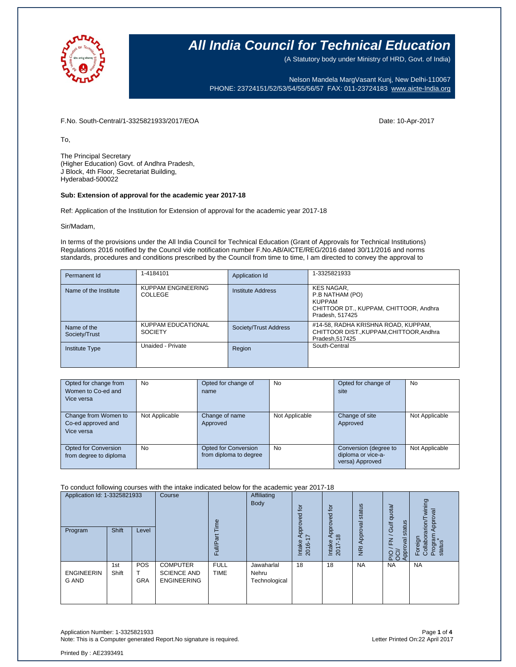

(A Statutory body under Ministry of HRD, Govt. of India)

Nelson Mandela MargVasant Kunj, New Delhi-110067 PHONE: 23724151/52/53/54/55/56/57 FAX: 011-23724183 [www.aicte-India.org](http://www.aicte-india.org/)

F.No. South-Central/1-3325821933/2017/EOA Date: 10-Apr-2017

To,

The Principal Secretary (Higher Education) Govt. of Andhra Pradesh, J Block, 4th Floor, Secretariat Building, Hyderabad-500022

#### **Sub: Extension of approval for the academic year 2017-18**

Ref: Application of the Institution for Extension of approval for the academic year 2017-18

Sir/Madam,

In terms of the provisions under the All India Council for Technical Education (Grant of Approvals for Technical Institutions) Regulations 2016 notified by the Council vide notification number F.No.AB/AICTE/REG/2016 dated 30/11/2016 and norms standards, procedures and conditions prescribed by the Council from time to time, I am directed to convey the approval to

| Permanent Id                 | 1-4184101                            | Application Id           | 1-3325821933                                                                                                       |
|------------------------------|--------------------------------------|--------------------------|--------------------------------------------------------------------------------------------------------------------|
| Name of the Institute        | KUPPAM ENGINEERING<br>COLLEGE        | <b>Institute Address</b> | <b>KES NAGAR.</b><br>P.B NATHAM (PO)<br><b>KUPPAM</b><br>CHITTOOR DT., KUPPAM, CHITTOOR, Andhra<br>Pradesh, 517425 |
| Name of the<br>Society/Trust | KUPPAM EDUCATIONAL<br><b>SOCIETY</b> | Society/Trust Address    | #14-58, RADHA KRISHNA ROAD, KUPPAM,<br>CHITTOOR DIST., KUPPAM, CHITTOOR, Andhra<br>Pradesh, 517425                 |
| <b>Institute Type</b>        | Unaided - Private                    | Region                   | South-Central                                                                                                      |

| Opted for change from<br>Women to Co-ed and<br>Vice versa | <b>No</b>      | Opted for change of<br>name                    | <b>No</b>      | Opted for change of<br>site                                    | <b>No</b>      |
|-----------------------------------------------------------|----------------|------------------------------------------------|----------------|----------------------------------------------------------------|----------------|
| Change from Women to<br>Co-ed approved and<br>Vice versa  | Not Applicable | Change of name<br>Approved                     | Not Applicable | Change of site<br>Approved                                     | Not Applicable |
| Opted for Conversion<br>from degree to diploma            | <b>No</b>      | Opted for Conversion<br>from diploma to degree | <b>No</b>      | Conversion (degree to<br>diploma or vice-a-<br>versa) Approved | Not Applicable |

To conduct following courses with the intake indicated below for the academic year 2017-18

| Application Id: 1-3325821933      |              | Course<br>euil           | Affiliating<br><b>Body</b>                                  | tōt<br>ΘQ<br>Š             | $\overline{c}$<br>pproved            | status                    | quota/                          | wining<br>Approval         |                                                           |                                                                    |
|-----------------------------------|--------------|--------------------------|-------------------------------------------------------------|----------------------------|--------------------------------------|---------------------------|---------------------------------|----------------------------|-----------------------------------------------------------|--------------------------------------------------------------------|
| Program                           | <b>Shift</b> | Level                    |                                                             | ω<br>≣<br>ட                |                                      | ğ<br>∼<br>Intake<br>2016- | $\infty$<br>₫<br>Intake<br>2017 | Approval<br>$\overline{R}$ | status<br>Gulf<br>∽<br>준<br>oval<br><b>PPE</b><br>운영<br>◀ | $r$ arion/<br>Program<br>status<br>Foreign<br>Collabor<br>$\Delta$ |
| <b>ENGINEERIN</b><br><b>G AND</b> | 1st<br>Shift | <b>POS</b><br><b>GRA</b> | <b>COMPUTER</b><br><b>SCIENCE AND</b><br><b>ENGINEERING</b> | <b>FULL</b><br><b>TIME</b> | Jawaharlal<br>Nehru<br>Technological | 18                        | 18                              | <b>NA</b>                  | <b>NA</b>                                                 | <b>NA</b>                                                          |

Application Number: 1-3325821933 Page **1** of **4** Note: This is a Computer generated Report. No signature is required.

Printed By : AE2393491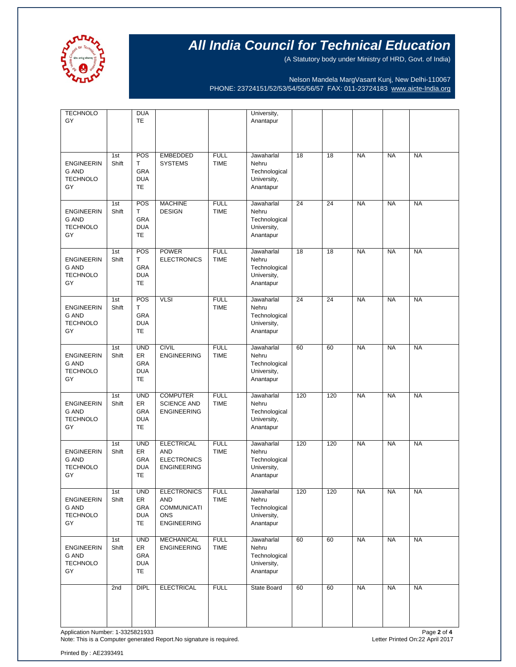

(A Statutory body under Ministry of HRD, Govt. of India)

Nelson Mandela MargVasant Kunj, New Delhi-110067 PHONE: 23724151/52/53/54/55/56/57 FAX: 011-23724183 [www.aicte-India.org](http://www.aicte-india.org/)

| <b>TECHNOLO</b><br>GY                                      |              | <b>DUA</b><br><b>TE</b>                                   |                                                                                     |                            | University,<br>Anantapur                                         |     |     |           |           |           |
|------------------------------------------------------------|--------------|-----------------------------------------------------------|-------------------------------------------------------------------------------------|----------------------------|------------------------------------------------------------------|-----|-----|-----------|-----------|-----------|
| <b>ENGINEERIN</b><br><b>G AND</b><br><b>TECHNOLO</b><br>GY | 1st<br>Shift | POS<br>T<br><b>GRA</b><br><b>DUA</b><br><b>TE</b>         | <b>EMBEDDED</b><br><b>SYSTEMS</b>                                                   | <b>FULL</b><br><b>TIME</b> | Jawaharlal<br>Nehru<br>Technological<br>University,<br>Anantapur | 18  | 18  | <b>NA</b> | <b>NA</b> | <b>NA</b> |
| <b>ENGINEERIN</b><br><b>G AND</b><br><b>TECHNOLO</b><br>GY | 1st<br>Shift | POS<br>T.<br>GRA<br><b>DUA</b><br><b>TE</b>               | <b>MACHINE</b><br><b>DESIGN</b>                                                     | <b>FULL</b><br><b>TIME</b> | Jawaharlal<br>Nehru<br>Technological<br>University,<br>Anantapur | 24  | 24  | <b>NA</b> | <b>NA</b> | <b>NA</b> |
| <b>ENGINEERIN</b><br><b>G AND</b><br><b>TECHNOLO</b><br>GY | 1st<br>Shift | POS<br>T.<br><b>GRA</b><br><b>DUA</b><br><b>TE</b>        | <b>POWER</b><br><b>ELECTRONICS</b>                                                  | <b>FULL</b><br><b>TIME</b> | Jawaharlal<br>Nehru<br>Technological<br>University,<br>Anantapur | 18  | 18  | <b>NA</b> | <b>NA</b> | <b>NA</b> |
| <b>ENGINEERIN</b><br><b>G AND</b><br><b>TECHNOLO</b><br>GY | 1st<br>Shift | POS<br>T<br>GRA<br><b>DUA</b><br>TE                       | <b>VLSI</b>                                                                         | <b>FULL</b><br><b>TIME</b> | Jawaharlal<br>Nehru<br>Technological<br>University,<br>Anantapur | 24  | 24  | <b>NA</b> | <b>NA</b> | <b>NA</b> |
| <b>ENGINEERIN</b><br><b>G AND</b><br><b>TECHNOLO</b><br>GY | 1st<br>Shift | <b>UND</b><br><b>ER</b><br>GRA<br><b>DUA</b><br><b>TE</b> | <b>CIVIL</b><br><b>ENGINEERING</b>                                                  | <b>FULL</b><br><b>TIME</b> | Jawaharlal<br>Nehru<br>Technological<br>University,<br>Anantapur | 60  | 60  | <b>NA</b> | <b>NA</b> | <b>NA</b> |
| <b>ENGINEERIN</b><br><b>G AND</b><br><b>TECHNOLO</b><br>GY | 1st<br>Shift | <b>UND</b><br>ER<br>GRA<br><b>DUA</b><br>TE               | <b>COMPUTER</b><br><b>SCIENCE AND</b><br><b>ENGINEERING</b>                         | <b>FULL</b><br><b>TIME</b> | Jawaharlal<br>Nehru<br>Technological<br>University,<br>Anantapur | 120 | 120 | <b>NA</b> | <b>NA</b> | <b>NA</b> |
| <b>ENGINEERIN</b><br><b>G AND</b><br><b>TECHNOLO</b><br>GY | 1st<br>Shift | <b>UND</b><br>ER<br><b>GRA</b><br><b>DUA</b><br><b>TE</b> | <b>ELECTRICAL</b><br><b>AND</b><br><b>ELECTRONICS</b><br><b>ENGINEERING</b>         | <b>FULL</b><br><b>TIME</b> | Jawaharlal<br>Nehru<br>Technological<br>University,<br>Anantapur | 120 | 120 | <b>NA</b> | <b>NA</b> | <b>NA</b> |
| <b>ENGINEERIN</b><br>G AND<br><b>TECHNOLO</b><br>GY        | 1st<br>Shift | <b>UND</b><br>ER<br>GRA<br><b>DUA</b><br>TE               | <b>ELECTRONICS</b><br>AND<br><b>COMMUNICATI</b><br><b>ONS</b><br><b>ENGINEERING</b> | <b>FULL</b><br><b>TIME</b> | Jawaharlal<br>Nehru<br>Technological<br>University,<br>Anantapur | 120 | 120 | <b>NA</b> | <b>NA</b> | <b>NA</b> |
| <b>ENGINEERIN</b><br>G AND<br><b>TECHNOLO</b><br>GY        | 1st<br>Shift | <b>UND</b><br>ER<br>GRA<br><b>DUA</b><br>TE               | <b>MECHANICAL</b><br><b>ENGINEERING</b>                                             | <b>FULL</b><br><b>TIME</b> | Jawaharlal<br>Nehru<br>Technological<br>University,<br>Anantapur | 60  | 60  | <b>NA</b> | <b>NA</b> | <b>NA</b> |
|                                                            | 2nd          | <b>DIPL</b>                                               | <b>ELECTRICAL</b>                                                                   | <b>FULL</b>                | State Board                                                      | 60  | 60  | <b>NA</b> | <b>NA</b> | <b>NA</b> |

Application Number: 1-3325821933<br>Note: This is a Computer generated Report.No signature is required.<br>Note: This is a Computer generated Report.No signature is required. Note: This is a Computer generated Report.No signature is required.

Printed By : AE2393491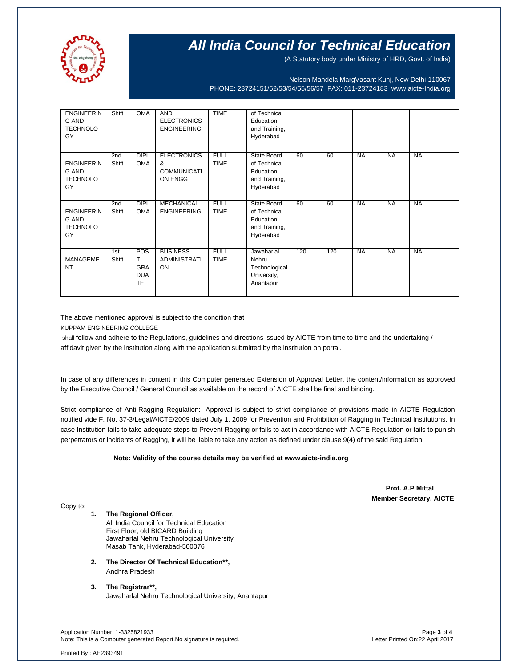

(A Statutory body under Ministry of HRD, Govt. of India)

Nelson Mandela MargVasant Kunj, New Delhi-110067 PHONE: 23724151/52/53/54/55/56/57 FAX: 011-23724183 [www.aicte-India.org](http://www.aicte-india.org/)

| <b>ENGINEERIN</b><br><b>G AND</b><br><b>TECHNOLO</b><br>GY | Shift                    | <b>OMA</b>                                        | <b>AND</b><br><b>ELECTRONICS</b><br><b>ENGINEERING</b>   | <b>TIME</b>                | of Technical<br>Education<br>and Training,<br>Hyderabad                |     |     |           |           |           |
|------------------------------------------------------------|--------------------------|---------------------------------------------------|----------------------------------------------------------|----------------------------|------------------------------------------------------------------------|-----|-----|-----------|-----------|-----------|
| <b>ENGINEERIN</b><br>G AND<br><b>TECHNOLO</b><br>GY        | 2nd<br>Shift             | <b>DIPL</b><br><b>OMA</b>                         | <b>ELECTRONICS</b><br>&<br><b>COMMUNICATI</b><br>ON ENGG | <b>FULL</b><br><b>TIME</b> | State Board<br>of Technical<br>Education<br>and Training,<br>Hyderabad | 60  | 60  | <b>NA</b> | <b>NA</b> | <b>NA</b> |
| <b>ENGINEERIN</b><br><b>G AND</b><br><b>TECHNOLO</b><br>GY | 2 <sub>nd</sub><br>Shift | <b>DIPL</b><br><b>OMA</b>                         | <b>MECHANICAL</b><br><b>ENGINEERING</b>                  | <b>FULL</b><br><b>TIME</b> | State Board<br>of Technical<br>Education<br>and Training,<br>Hyderabad | 60  | 60  | <b>NA</b> | <b>NA</b> | <b>NA</b> |
| <b>MANAGEME</b><br><b>NT</b>                               | 1st<br>Shift             | POS<br>т<br><b>GRA</b><br><b>DUA</b><br><b>TE</b> | <b>BUSINESS</b><br><b>ADMINISTRATI</b><br>ON             | <b>FULL</b><br><b>TIME</b> | Jawaharlal<br>Nehru<br>Technological<br>University,<br>Anantapur       | 120 | 120 | <b>NA</b> | <b>NA</b> | <b>NA</b> |

The above mentioned approval is subject to the condition that

KUPPAM ENGINEERING COLLEGE

shall follow and adhere to the Regulations, guidelines and directions issued by AICTE from time to time and the undertaking / affidavit given by the institution along with the application submitted by the institution on portal.

In case of any differences in content in this Computer generated Extension of Approval Letter, the content/information as approved by the Executive Council / General Council as available on the record of AICTE shall be final and binding.

Strict compliance of Anti-Ragging Regulation:- Approval is subject to strict compliance of provisions made in AICTE Regulation notified vide F. No. 37-3/Legal/AICTE/2009 dated July 1, 2009 for Prevention and Prohibition of Ragging in Technical Institutions. In case Institution fails to take adequate steps to Prevent Ragging or fails to act in accordance with AICTE Regulation or fails to punish perpetrators or incidents of Ragging, it will be liable to take any action as defined under clause 9(4) of the said Regulation.

 **Note: Validity of the course details may be verified at www.aicte-india.org** 

 **Prof. A.P Mittal Member Secretary, AICTE**

Copy to:

**1. The Regional Officer,** All India Council for Technical Education First Floor, old BICARD Building Jawaharlal Nehru Technological University Masab Tank, Hyderabad-500076

- **2. The Director Of Technical Education\*\*,** Andhra Pradesh
- **3. The Registrar\*\*,** Jawaharlal Nehru Technological University, Anantapur

Application Number: 1-3325821933 Page **3** of **4** Note: This is a Computer generated Report.No signature is required.

Printed By : AE2393491